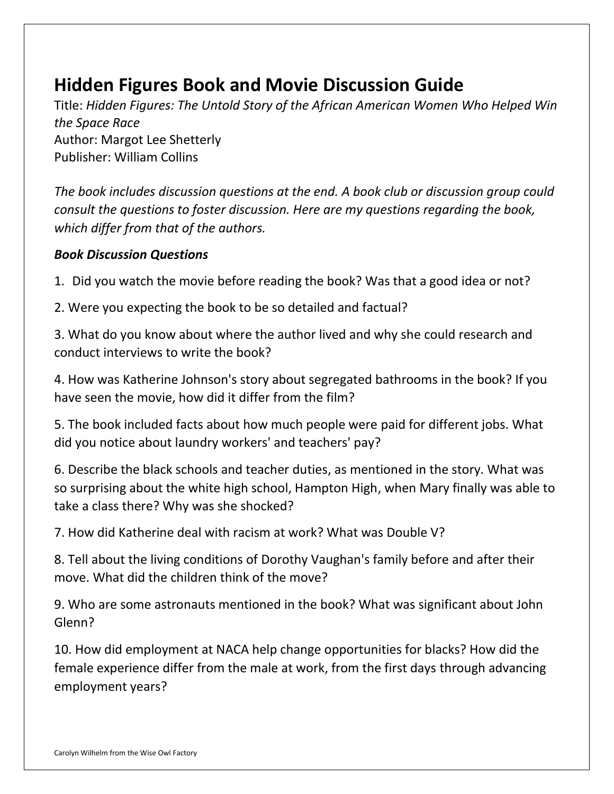# **Hidden Figures Book and Movie Discussion Guide**

Title: *Hidden Figures: The Untold Story of the African American Women Who Helped Win the Space Race* Author: Margot Lee Shetterly Publisher: William Collins

*The book includes discussion questions at the end. A book club or discussion group could consult the questions to foster discussion. Here are my questions regarding the book, which differ from that of the authors.* 

### *Book Discussion Questions*

1. Did you watch the movie before reading the book? Was that a good idea or not?

2. Were you expecting the book to be so detailed and factual?

3. What do you know about where the author lived and why she could research and conduct interviews to write the book?

4. How was Katherine Johnson's story about segregated bathrooms in the book? If you have seen the movie, how did it differ from the film?

5. The book included facts about how much people were paid for different jobs. What did you notice about laundry workers' and teachers' pay?

6. Describe the black schools and teacher duties, as mentioned in the story. What was so surprising about the white high school, Hampton High, when Mary finally was able to take a class there? Why was she shocked?

7. How did Katherine deal with racism at work? What was Double V?

8. Tell about the living conditions of Dorothy Vaughan's family before and after their move. What did the children think of the move?

9. Who are some astronauts mentioned in the book? What was significant about John Glenn?

10. How did employment at NACA help change opportunities for blacks? How did the female experience differ from the male at work, from the first days through advancing employment years?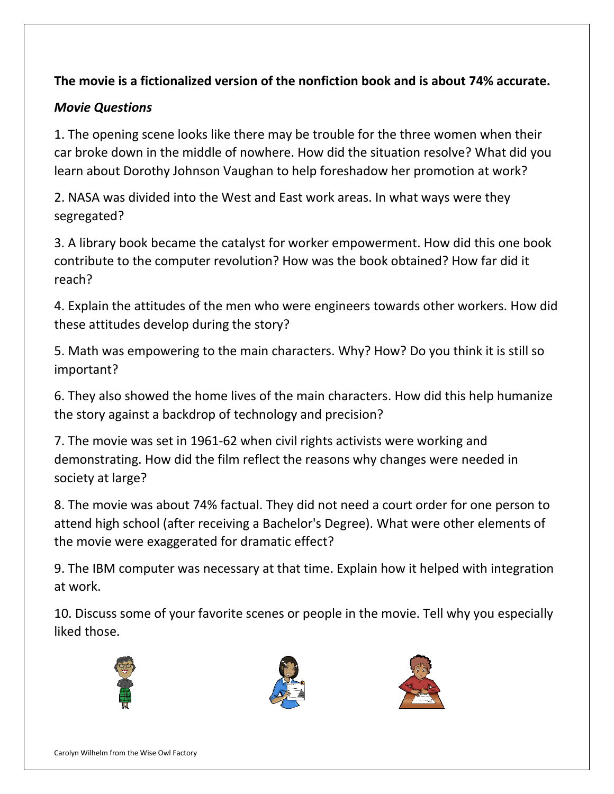## **The movie is a fictionalized version of the nonfiction book and is about 74% accurate.**

## *Movie Questions*

1. The opening scene looks like there may be trouble for the three women when their car broke down in the middle of nowhere. How did the situation resolve? What did you learn about Dorothy Johnson Vaughan to help foreshadow her promotion at work?

2. NASA was divided into the West and East work areas. In what ways were they segregated?

3. A library book became the catalyst for worker empowerment. How did this one book contribute to the computer revolution? How was the book obtained? How far did it reach?

4. Explain the attitudes of the men who were engineers towards other workers. How did these attitudes develop during the story?

5. Math was empowering to the main characters. Why? How? Do you think it is still so important?

6. They also showed the home lives of the main characters. How did this help humanize the story against a backdrop of technology and precision?

7. The movie was set in 1961-62 when civil rights activists were working and demonstrating. How did the film reflect the reasons why changes were needed in society at large?

8. The movie was about 74% factual. They did not need a court order for one person to attend high school (after receiving a Bachelor's Degree). What were other elements of the movie were exaggerated for dramatic effect?

9. The IBM computer was necessary at that time. Explain how it helped with integration at work.

10. Discuss some of your favorite scenes or people in the movie. Tell why you especially liked those.